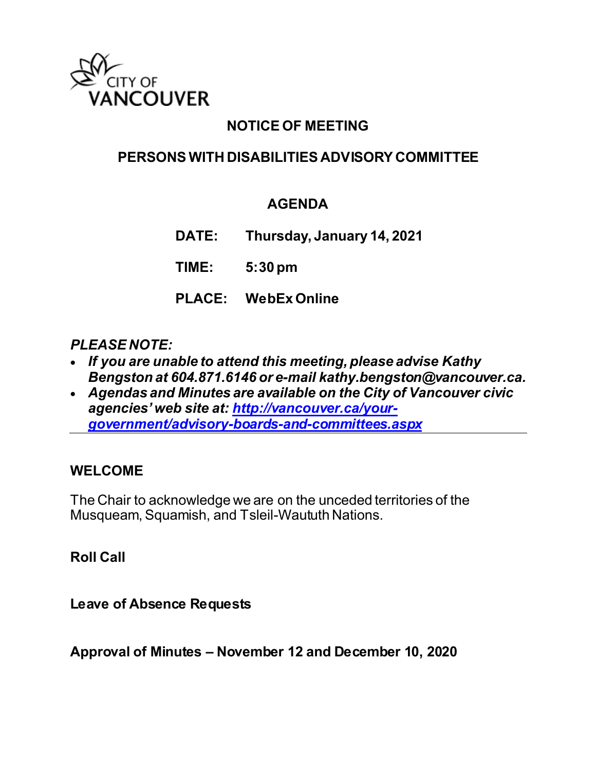

## **NOTICE OF MEETING**

## **PERSONS WITH DISABILITIES ADVISORY COMMITTEE**

### **AGENDA**

**DATE: Thursday, January 14, 2021**

**TIME: 5:30 pm**

**PLACE: WebEx Online**

#### *PLEASE NOTE:*

- *If you are unable to attend this meeting, please advise Kathy Bengston at 604.871.6146 or e-mail kathy.bengston@vancouver.ca.*
- *Agendas and Minutes are available on the City of Vancouver civic agencies' web site at: [http://vancouver.ca/your](http://vancouver.ca/your-government/advisory-boards-and-committees.aspx)[government/advisory-boards-and-committees.aspx](http://vancouver.ca/your-government/advisory-boards-and-committees.aspx)*

#### **WELCOME**

The Chair to acknowledge we are on the unceded territories of the Musqueam, Squamish, and Tsleil-Waututh Nations.

**Roll Call**

**Leave of Absence Requests** 

**Approval of Minutes – November 12 and December 10, 2020**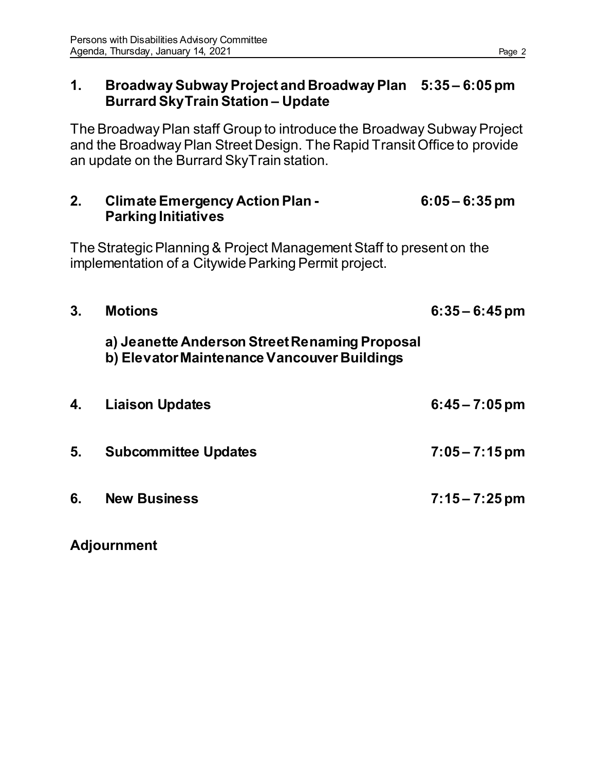#### **1. Broadway Subway Project and Broadway Plan 5:35 – 6:05 pm Burrard SkyTrain Station – Update**

The Broadway Plan staff Group to introduce the Broadway Subway Project and the Broadway Plan Street Design. The Rapid Transit Office to provide an update on the Burrard SkyTrain station.

| 2. | <b>Climate Emergency Action Plan -</b> | $6:05 - 6:35$ pm |
|----|----------------------------------------|------------------|
|    | <b>Parking Initiatives</b>             |                  |
|    |                                        |                  |

The Strategic Planning & Project Management Staff to present on the implementation of a Citywide Parking Permit project.

| 3. | <b>Motions</b>                                                                               | $6:35 - 6:45$ pm |
|----|----------------------------------------------------------------------------------------------|------------------|
|    | a) Jeanette Anderson Street Renaming Proposal<br>b) Elevator Maintenance Vancouver Buildings |                  |
| 4. | <b>Liaison Updates</b>                                                                       | $6:45 - 7:05$ pm |
| 5. | <b>Subcommittee Updates</b>                                                                  | $7:05 - 7:15$ pm |
| 6. | <b>New Business</b>                                                                          | $7:15 - 7:25$ pm |

**Adjournment**